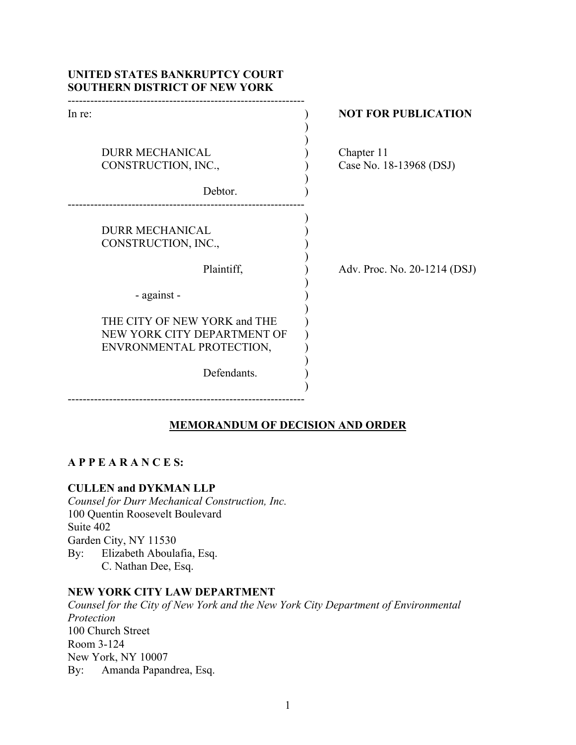| UNITED STATES BANKRUPTCY COURT<br><b>SOUTHERN DISTRICT OF NEW YORK</b>                                 |                              |
|--------------------------------------------------------------------------------------------------------|------------------------------|
| In re:                                                                                                 | <b>NOT FOR PUBLICATION</b>   |
| <b>DURR MECHANICAL</b>                                                                                 | Chapter 11                   |
| CONSTRUCTION, INC.,                                                                                    | Case No. 18-13968 (DSJ)      |
| Debtor.                                                                                                |                              |
| <b>DURR MECHANICAL</b><br>CONSTRUCTION, INC.,<br>Plaintiff,                                            | Adv. Proc. No. 20-1214 (DSJ) |
| - against -                                                                                            |                              |
| THE CITY OF NEW YORK and THE<br>NEW YORK CITY DEPARTMENT OF<br>ENVRONMENTAL PROTECTION,<br>Defendants. |                              |

# **MEMORANDUM OF DECISION AND ORDER**

# **A P P E A R A N C E S:**

# **CULLEN and DYKMAN LLP**

*Counsel for Durr Mechanical Construction, Inc.* 100 Quentin Roosevelt Boulevard Suite 402 Garden City, NY 11530 By: Elizabeth Aboulafia, Esq. C. Nathan Dee, Esq.

# **NEW YORK CITY LAW DEPARTMENT**

*Counsel for the City of New York and the New York City Department of Environmental Protection* 100 Church Street Room 3-124 New York, NY 10007 By: Amanda Papandrea, Esq.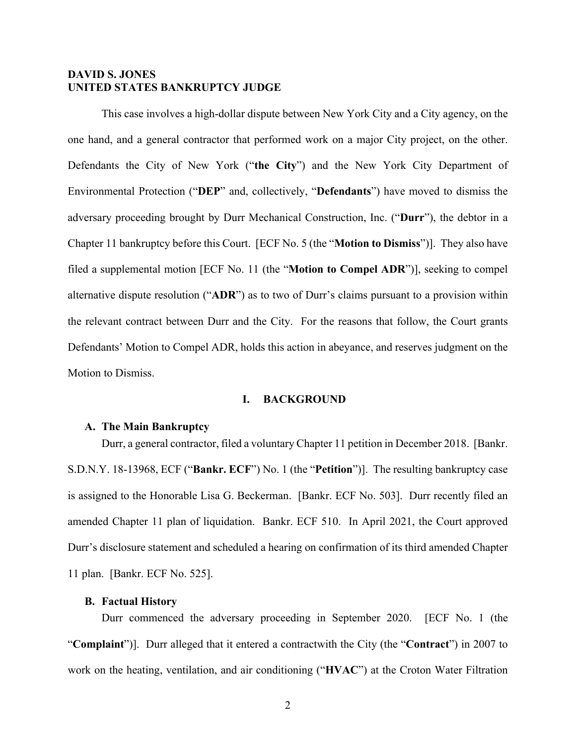## **DAVID S. JONES UNITED STATES BANKRUPTCY JUDGE**

This case involves a high-dollar dispute between New York City and a City agency, on the one hand, and a general contractor that performed work on a major City project, on the other. Defendants the City of New York ("**the City**") and the New York City Department of Environmental Protection ("**DEP**" and, collectively, "**Defendants**") have moved to dismiss the adversary proceeding brought by Durr Mechanical Construction, Inc. ("**Durr**"), the debtor in a Chapter 11 bankruptcy before this Court. [ECF No. 5 (the "**Motion to Dismiss**")]. They also have filed a supplemental motion [ECF No. 11 (the "**Motion to Compel ADR**")], seeking to compel alternative dispute resolution ("**ADR**") as to two of Durr's claims pursuant to a provision within the relevant contract between Durr and the City. For the reasons that follow, the Court grants Defendants' Motion to Compel ADR, holds this action in abeyance, and reserves judgment on the Motion to Dismiss.

# **I. BACKGROUND**

### **A. The Main Bankruptcy**

Durr, a general contractor, filed a voluntary Chapter 11 petition in December 2018. [Bankr. S.D.N.Y. 18-13968, ECF ("**Bankr. ECF**") No. 1 (the "**Petition**")]. The resulting bankruptcy case is assigned to the Honorable Lisa G. Beckerman. [Bankr. ECF No. 503]. Durr recently filed an amended Chapter 11 plan of liquidation. Bankr. ECF 510. In April 2021, the Court approved Durr's disclosure statement and scheduled a hearing on confirmation of its third amended Chapter 11 plan. [Bankr. ECF No. 525].

### **B. Factual History**

Durr commenced the adversary proceeding in September 2020. [ECF No. 1 (the "**Complaint**")]. Durr alleged that it entered a contractwith the City (the "**Contract**") in 2007 to work on the heating, ventilation, and air conditioning ("**HVAC**") at the Croton Water Filtration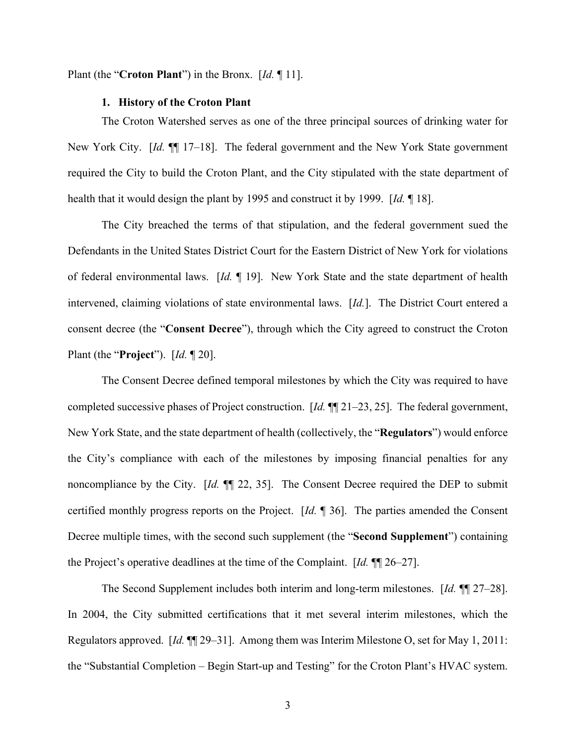Plant (the "**Croton Plant**") in the Bronx. [*Id.* ¶ 11].

#### **1. History of the Croton Plant**

The Croton Watershed serves as one of the three principal sources of drinking water for New York City. [*Id.* ¶¶ 17–18]. The federal government and the New York State government required the City to build the Croton Plant, and the City stipulated with the state department of health that it would design the plant by 1995 and construct it by 1999. [*Id.* ¶ 18].

The City breached the terms of that stipulation, and the federal government sued the Defendants in the United States District Court for the Eastern District of New York for violations of federal environmental laws. [*Id.* ¶ 19]. New York State and the state department of health intervened, claiming violations of state environmental laws. [*Id.*]. The District Court entered a consent decree (the "**Consent Decree**"), through which the City agreed to construct the Croton Plant (the "**Project**"). [*Id.* ¶ 20].

The Consent Decree defined temporal milestones by which the City was required to have completed successive phases of Project construction. [*Id.* ¶¶ 21–23, 25]. The federal government, New York State, and the state department of health (collectively, the "**Regulators**") would enforce the City's compliance with each of the milestones by imposing financial penalties for any noncompliance by the City. [*Id.* ¶¶ 22, 35]. The Consent Decree required the DEP to submit certified monthly progress reports on the Project. [*Id.* ¶ 36]. The parties amended the Consent Decree multiple times, with the second such supplement (the "**Second Supplement**") containing the Project's operative deadlines at the time of the Complaint. [*Id.* ¶¶ 26–27].

The Second Supplement includes both interim and long-term milestones. [*Id.* ¶¶ 27–28]. In 2004, the City submitted certifications that it met several interim milestones, which the Regulators approved. [*Id.* ¶¶ 29–31]. Among them was Interim Milestone O, set for May 1, 2011: the "Substantial Completion – Begin Start-up and Testing" for the Croton Plant's HVAC system.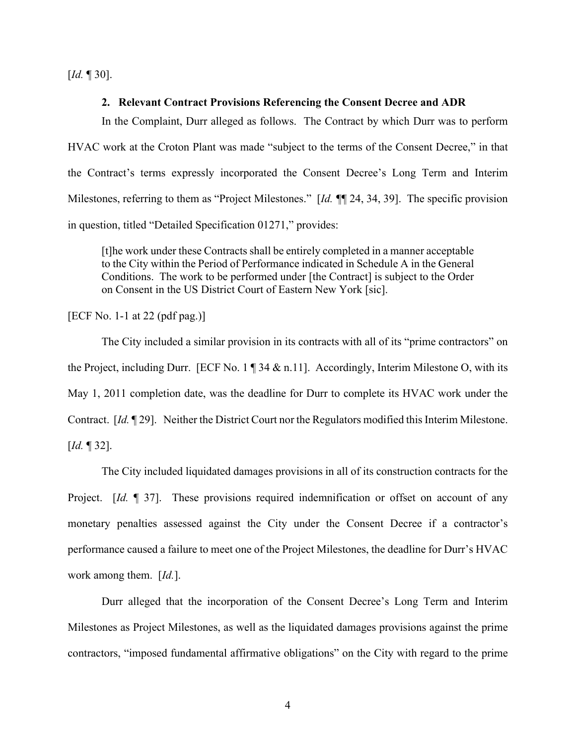[*Id.* ¶ 30].

#### **2. Relevant Contract Provisions Referencing the Consent Decree and ADR**

In the Complaint, Durr alleged as follows. The Contract by which Durr was to perform HVAC work at the Croton Plant was made "subject to the terms of the Consent Decree," in that the Contract's terms expressly incorporated the Consent Decree's Long Term and Interim Milestones, referring to them as "Project Milestones." [*Id. ¶*¶ 24, 34, 39]. The specific provision in question, titled "Detailed Specification 01271," provides:

[t]he work under these Contracts shall be entirely completed in a manner acceptable to the City within the Period of Performance indicated in Schedule A in the General Conditions. The work to be performed under [the Contract] is subject to the Order on Consent in the US District Court of Eastern New York [sic].

[ECF No. 1-1 at 22 (pdf pag.)]

The City included a similar provision in its contracts with all of its "prime contractors" on the Project, including Durr. [ECF No. 1 ¶ 34 & n.11]. Accordingly, Interim Milestone O, with its May 1, 2011 completion date, was the deadline for Durr to complete its HVAC work under the Contract. [*Id.* ¶ 29]. Neither the District Court nor the Regulators modified this Interim Milestone. [*Id.* ¶ 32].

The City included liquidated damages provisions in all of its construction contracts for the Project. *[Id.* 1] 37]. These provisions required indemnification or offset on account of any monetary penalties assessed against the City under the Consent Decree if a contractor's performance caused a failure to meet one of the Project Milestones, the deadline for Durr's HVAC work among them. [*Id.*].

Durr alleged that the incorporation of the Consent Decree's Long Term and Interim Milestones as Project Milestones, as well as the liquidated damages provisions against the prime contractors, "imposed fundamental affirmative obligations" on the City with regard to the prime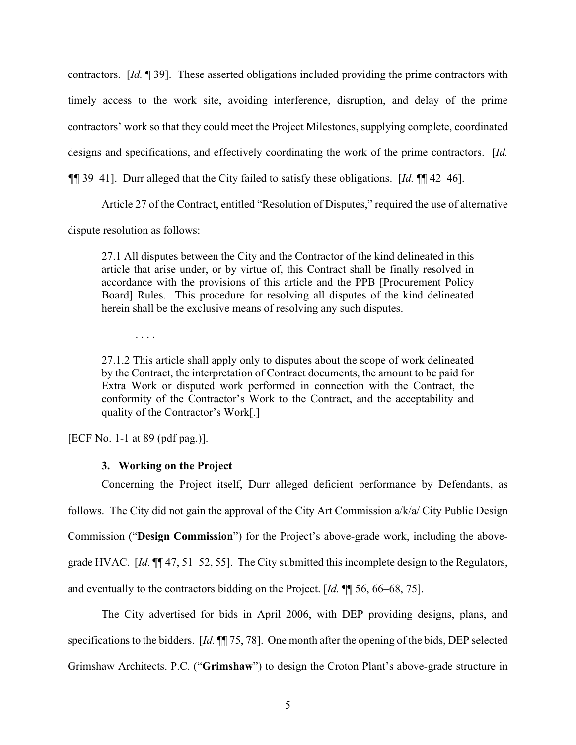contractors. [*Id.* ¶ 39]. These asserted obligations included providing the prime contractors with timely access to the work site, avoiding interference, disruption, and delay of the prime contractors' work so that they could meet the Project Milestones, supplying complete, coordinated designs and specifications, and effectively coordinating the work of the prime contractors. [*Id.* 

*¶¶* 39–41]. Durr alleged that the City failed to satisfy these obligations. [*Id.* ¶¶ 42–46].

Article 27 of the Contract, entitled "Resolution of Disputes," required the use of alternative

dispute resolution as follows:

27.1 All disputes between the City and the Contractor of the kind delineated in this article that arise under, or by virtue of, this Contract shall be finally resolved in accordance with the provisions of this article and the PPB [Procurement Policy Board] Rules. This procedure for resolving all disputes of the kind delineated herein shall be the exclusive means of resolving any such disputes.

. . . .

27.1.2 This article shall apply only to disputes about the scope of work delineated by the Contract, the interpretation of Contract documents, the amount to be paid for Extra Work or disputed work performed in connection with the Contract, the conformity of the Contractor's Work to the Contract, and the acceptability and quality of the Contractor's Work[.]

[ECF No. 1-1 at 89 (pdf pag.)].

# **3. Working on the Project**

Concerning the Project itself, Durr alleged deficient performance by Defendants, as follows. The City did not gain the approval of the City Art Commission a/k/a/ City Public Design Commission ("**Design Commission**") for the Project's above-grade work, including the abovegrade HVAC. [*Id.* ¶¶ 47, 51–52, 55]. The City submitted this incomplete design to the Regulators, and eventually to the contractors bidding on the Project. [*Id.* ¶¶ 56, 66–68, 75].

The City advertised for bids in April 2006, with DEP providing designs, plans, and specifications to the bidders. [*Id.* ¶¶ 75, 78]. One month after the opening of the bids, DEP selected Grimshaw Architects. P.C. ("**Grimshaw**") to design the Croton Plant's above-grade structure in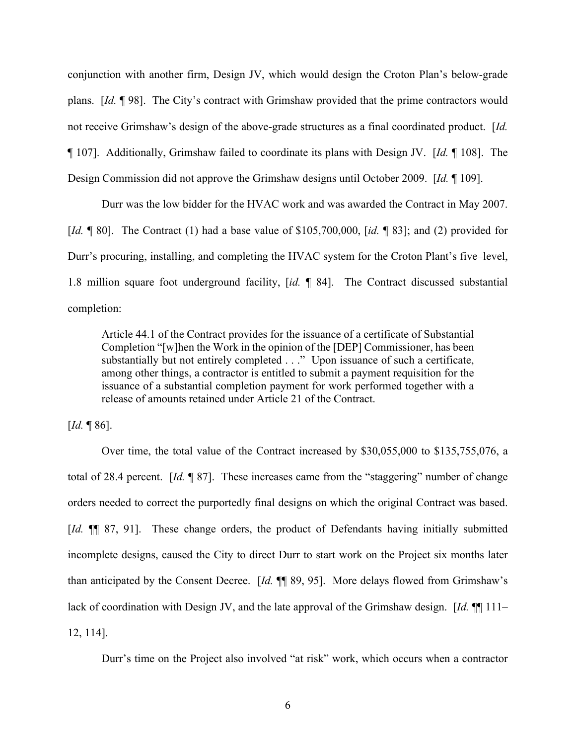conjunction with another firm, Design JV, which would design the Croton Plan's below-grade plans. [*Id.* ¶ 98]. The City's contract with Grimshaw provided that the prime contractors would not receive Grimshaw's design of the above-grade structures as a final coordinated product. [*Id.*  ¶ 107]. Additionally, Grimshaw failed to coordinate its plans with Design JV. [*Id.* ¶ 108]. The Design Commission did not approve the Grimshaw designs until October 2009. [*Id.* ¶ 109].

Durr was the low bidder for the HVAC work and was awarded the Contract in May 2007. [*Id.* ¶ 80]. The Contract (1) had a base value of \$105,700,000, [*id.* ¶ 83]; and (2) provided for Durr's procuring, installing, and completing the HVAC system for the Croton Plant's five–level, 1.8 million square foot underground facility, [*id.* ¶ 84]. The Contract discussed substantial completion:

Article 44.1 of the Contract provides for the issuance of a certificate of Substantial Completion "[w]hen the Work in the opinion of the [DEP] Commissioner, has been substantially but not entirely completed . . ." Upon issuance of such a certificate, among other things, a contractor is entitled to submit a payment requisition for the issuance of a substantial completion payment for work performed together with a release of amounts retained under Article 21 of the Contract.

[*Id.* ¶ 86].

Over time, the total value of the Contract increased by \$30,055,000 to \$135,755,076, a total of 28.4 percent. [*Id.* ¶ 87]. These increases came from the "staggering" number of change orders needed to correct the purportedly final designs on which the original Contract was based. [*Id.*  $\P$ ] 87, 91]. These change orders, the product of Defendants having initially submitted incomplete designs, caused the City to direct Durr to start work on the Project six months later than anticipated by the Consent Decree. [*Id.* ¶¶ 89, 95]. More delays flowed from Grimshaw's lack of coordination with Design JV, and the late approval of the Grimshaw design. [*Id.* ¶¶ 111– 12, 114].

Durr's time on the Project also involved "at risk" work, which occurs when a contractor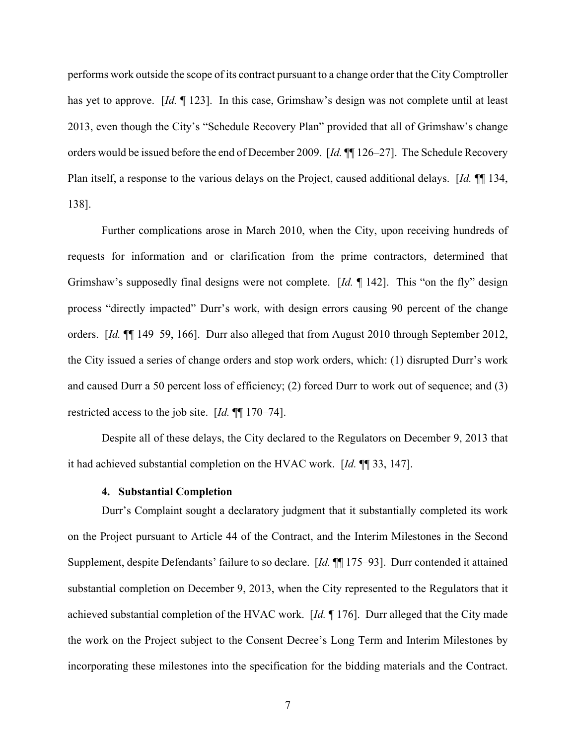performs work outside the scope of its contract pursuant to a change order that the City Comptroller has yet to approve. [*Id.* ¶ 123]. In this case, Grimshaw's design was not complete until at least 2013, even though the City's "Schedule Recovery Plan" provided that all of Grimshaw's change orders would be issued before the end of December 2009. [*Id.* ¶¶ 126–27]. The Schedule Recovery Plan itself, a response to the various delays on the Project, caused additional delays. [*Id.* ¶¶ 134, 138].

Further complications arose in March 2010, when the City, upon receiving hundreds of requests for information and or clarification from the prime contractors, determined that Grimshaw's supposedly final designs were not complete. [*Id.* ¶ 142]. This "on the fly" design process "directly impacted" Durr's work, with design errors causing 90 percent of the change orders. [*Id.* ¶¶ 149–59, 166]. Durr also alleged that from August 2010 through September 2012, the City issued a series of change orders and stop work orders, which: (1) disrupted Durr's work and caused Durr a 50 percent loss of efficiency; (2) forced Durr to work out of sequence; and (3) restricted access to the job site. [*Id.* ¶¶ 170–74].

Despite all of these delays, the City declared to the Regulators on December 9, 2013 that it had achieved substantial completion on the HVAC work. [*Id.* ¶¶ 33, 147].

### **4. Substantial Completion**

Durr's Complaint sought a declaratory judgment that it substantially completed its work on the Project pursuant to Article 44 of the Contract, and the Interim Milestones in the Second Supplement, despite Defendants' failure to so declare. [*Id.* ¶¶ 175–93]. Durr contended it attained substantial completion on December 9, 2013, when the City represented to the Regulators that it achieved substantial completion of the HVAC work. [*Id.* ¶ 176]. Durr alleged that the City made the work on the Project subject to the Consent Decree's Long Term and Interim Milestones by incorporating these milestones into the specification for the bidding materials and the Contract.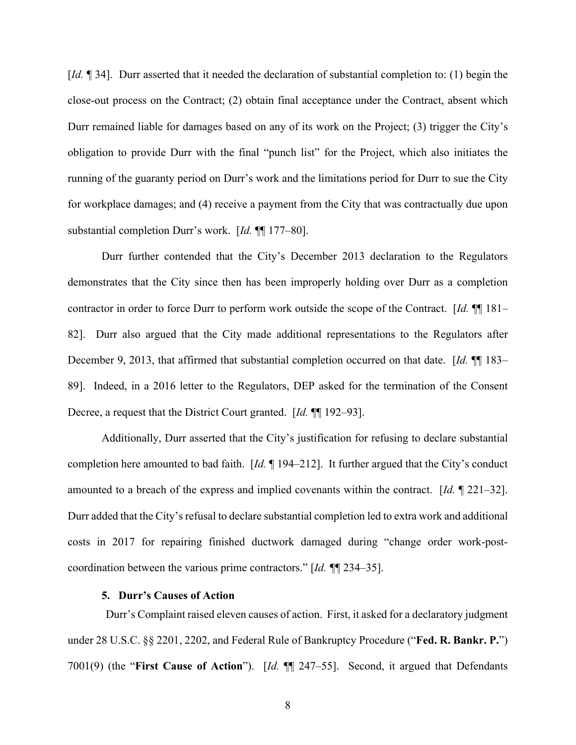[*Id.* ¶ 34]. Durr asserted that it needed the declaration of substantial completion to: (1) begin the close-out process on the Contract; (2) obtain final acceptance under the Contract, absent which Durr remained liable for damages based on any of its work on the Project; (3) trigger the City's obligation to provide Durr with the final "punch list" for the Project, which also initiates the running of the guaranty period on Durr's work and the limitations period for Durr to sue the City for workplace damages; and (4) receive a payment from the City that was contractually due upon substantial completion Durr's work. [*Id.* ¶¶ 177–80].

Durr further contended that the City's December 2013 declaration to the Regulators demonstrates that the City since then has been improperly holding over Durr as a completion contractor in order to force Durr to perform work outside the scope of the Contract. [*Id.* ¶¶ 181– 82]. Durr also argued that the City made additional representations to the Regulators after December 9, 2013, that affirmed that substantial completion occurred on that date. [*Id.* ¶¶ 183– 89]. Indeed, in a 2016 letter to the Regulators, DEP asked for the termination of the Consent Decree, a request that the District Court granted. [*Id.* ¶¶ 192–93].

Additionally, Durr asserted that the City's justification for refusing to declare substantial completion here amounted to bad faith. [*Id.* ¶ 194–212]. It further argued that the City's conduct amounted to a breach of the express and implied covenants within the contract. [*Id.* ¶ 221–32]. Durr added that the City's refusal to declare substantial completion led to extra work and additional costs in 2017 for repairing finished ductwork damaged during "change order work-postcoordination between the various prime contractors." [*Id. ¶*¶ 234–35].

#### **5. Durr's Causes of Action**

Durr's Complaint raised eleven causes of action. First, it asked for a declaratory judgment under 28 U.S.C. §§ 2201, 2202, and Federal Rule of Bankruptcy Procedure ("**Fed. R. Bankr. P.**") 7001(9) (the "**First Cause of Action**"). [*Id.* ¶¶ 247–55]. Second, it argued that Defendants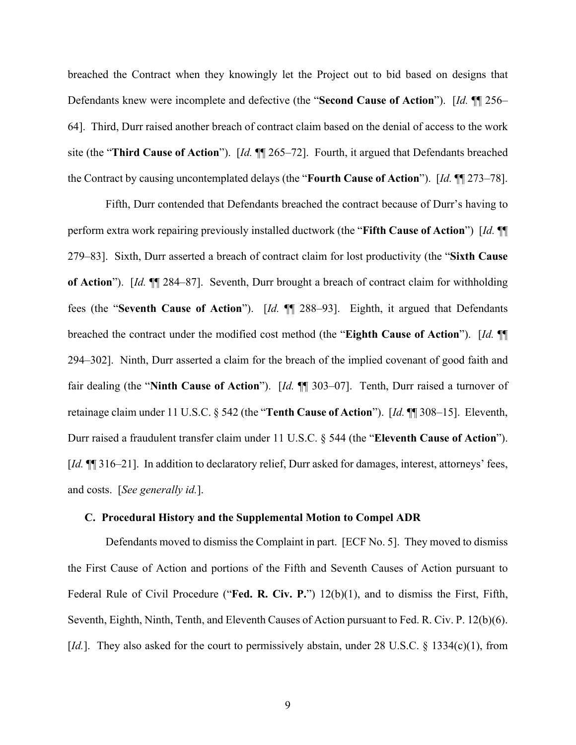breached the Contract when they knowingly let the Project out to bid based on designs that Defendants knew were incomplete and defective (the "**Second Cause of Action**"). [*Id.* ¶¶ 256– 64]. Third, Durr raised another breach of contract claim based on the denial of access to the work site (the "**Third Cause of Action**"). [*Id.* ¶¶ 265–72]. Fourth, it argued that Defendants breached the Contract by causing uncontemplated delays (the "**Fourth Cause of Action**"). [*Id.* ¶¶ 273–78].

Fifth, Durr contended that Defendants breached the contract because of Durr's having to perform extra work repairing previously installed ductwork (the "**Fifth Cause of Action**") [*Id.* ¶¶ 279–83]. Sixth, Durr asserted a breach of contract claim for lost productivity (the "**Sixth Cause of Action**"). [*Id.* ¶¶ 284–87]. Seventh, Durr brought a breach of contract claim for withholding fees (the "**Seventh Cause of Action**"). [*Id.* ¶¶ 288–93]. Eighth, it argued that Defendants breached the contract under the modified cost method (the "**Eighth Cause of Action**"). [*Id.* ¶¶ 294–302]. Ninth, Durr asserted a claim for the breach of the implied covenant of good faith and fair dealing (the "**Ninth Cause of Action**"). [*Id.* ¶¶ 303–07]. Tenth, Durr raised a turnover of retainage claim under 11 U.S.C. § 542 (the "**Tenth Cause of Action**"). [*Id.* ¶¶ 308–15]. Eleventh, Durr raised a fraudulent transfer claim under 11 U.S.C. § 544 (the "**Eleventh Cause of Action**"). [*Id.*  $\P$ ] 316–21]. In addition to declaratory relief, Durr asked for damages, interest, attorneys' fees, and costs. [*See generally id.*].

### **C. Procedural History and the Supplemental Motion to Compel ADR**

Defendants moved to dismiss the Complaint in part. [ECF No. 5]. They moved to dismiss the First Cause of Action and portions of the Fifth and Seventh Causes of Action pursuant to Federal Rule of Civil Procedure ("**Fed. R. Civ. P.**") 12(b)(1), and to dismiss the First, Fifth, Seventh, Eighth, Ninth, Tenth, and Eleventh Causes of Action pursuant to Fed. R. Civ. P. 12(b)(6). [*Id.*]. They also asked for the court to permissively abstain, under 28 U.S.C. § 1334(c)(1), from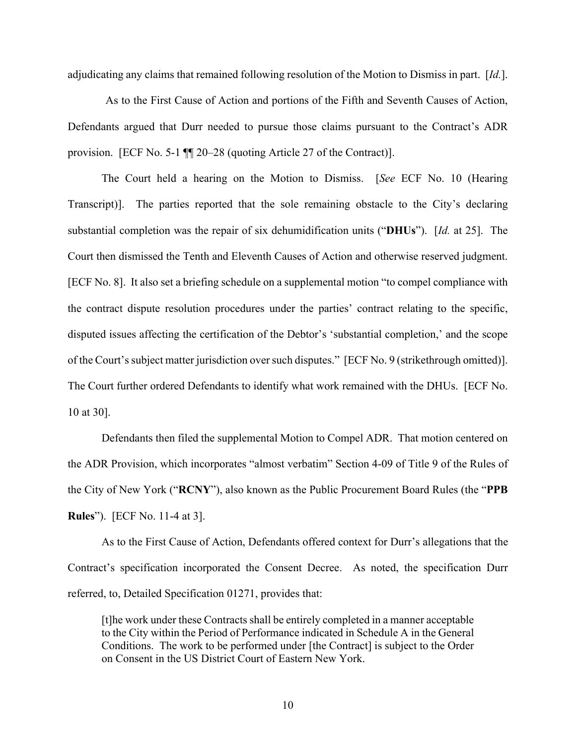adjudicating any claims that remained following resolution of the Motion to Dismiss in part. [*Id.*].

As to the First Cause of Action and portions of the Fifth and Seventh Causes of Action, Defendants argued that Durr needed to pursue those claims pursuant to the Contract's ADR provision. [ECF No. 5-1 ¶¶ 20–28 (quoting Article 27 of the Contract)].

 The Court held a hearing on the Motion to Dismiss. [*See* ECF No. 10 (Hearing Transcript)]. The parties reported that the sole remaining obstacle to the City's declaring substantial completion was the repair of six dehumidification units ("**DHUs**"). [*Id.* at 25]. The Court then dismissed the Tenth and Eleventh Causes of Action and otherwise reserved judgment. [ECF No. 8].It also set a briefing schedule on a supplemental motion "to compel compliance with the contract dispute resolution procedures under the parties' contract relating to the specific, disputed issues affecting the certification of the Debtor's 'substantial completion,' and the scope of the Court's subject matter jurisdiction over such disputes." [ECF No. 9 (strikethrough omitted)]. The Court further ordered Defendants to identify what work remained with the DHUs. [ECF No. 10 at 30].

 Defendants then filed the supplemental Motion to Compel ADR. That motion centered on the ADR Provision, which incorporates "almost verbatim" Section 4-09 of Title 9 of the Rules of the City of New York ("**RCNY**"), also known as the Public Procurement Board Rules (the "**PPB Rules**"). [ECF No. 11-4 at 3].

As to the First Cause of Action, Defendants offered context for Durr's allegations that the Contract's specification incorporated the Consent Decree. As noted, the specification Durr referred, to, Detailed Specification 01271, provides that:

[t]he work under these Contracts shall be entirely completed in a manner acceptable to the City within the Period of Performance indicated in Schedule A in the General Conditions. The work to be performed under [the Contract] is subject to the Order on Consent in the US District Court of Eastern New York.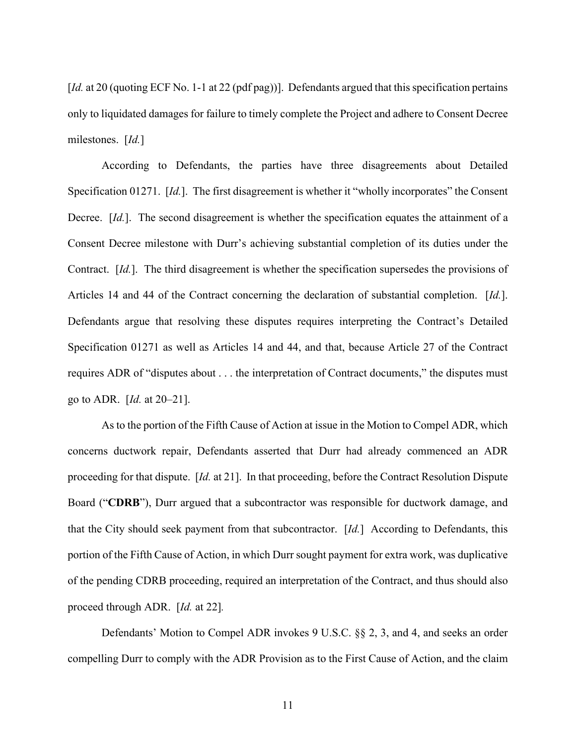[*Id.* at 20 (quoting ECF No. 1-1 at 22 (pdf pag))]. Defendants argued that this specification pertains only to liquidated damages for failure to timely complete the Project and adhere to Consent Decree milestones. [*Id.*]

According to Defendants, the parties have three disagreements about Detailed Specification 01271. [*Id.*]. The first disagreement is whether it "wholly incorporates" the Consent Decree. [*Id.*]. The second disagreement is whether the specification equates the attainment of a Consent Decree milestone with Durr's achieving substantial completion of its duties under the Contract. [*Id.*]. The third disagreement is whether the specification supersedes the provisions of Articles 14 and 44 of the Contract concerning the declaration of substantial completion. [*Id.*]. Defendants argue that resolving these disputes requires interpreting the Contract's Detailed Specification 01271 as well as Articles 14 and 44, and that, because Article 27 of the Contract requires ADR of "disputes about . . . the interpretation of Contract documents," the disputes must go to ADR. [*Id.* at 20–21].

As to the portion of the Fifth Cause of Action at issue in the Motion to Compel ADR, which concerns ductwork repair, Defendants asserted that Durr had already commenced an ADR proceeding for that dispute. [*Id.* at 21]. In that proceeding, before the Contract Resolution Dispute Board ("**CDRB**"), Durr argued that a subcontractor was responsible for ductwork damage, and that the City should seek payment from that subcontractor. [*Id.*]According to Defendants, this portion of the Fifth Cause of Action, in which Durr sought payment for extra work, was duplicative of the pending CDRB proceeding, required an interpretation of the Contract, and thus should also proceed through ADR. [*Id.* at 22]*.*

Defendants' Motion to Compel ADR invokes 9 U.S.C. §§ 2, 3, and 4, and seeks an order compelling Durr to comply with the ADR Provision as to the First Cause of Action, and the claim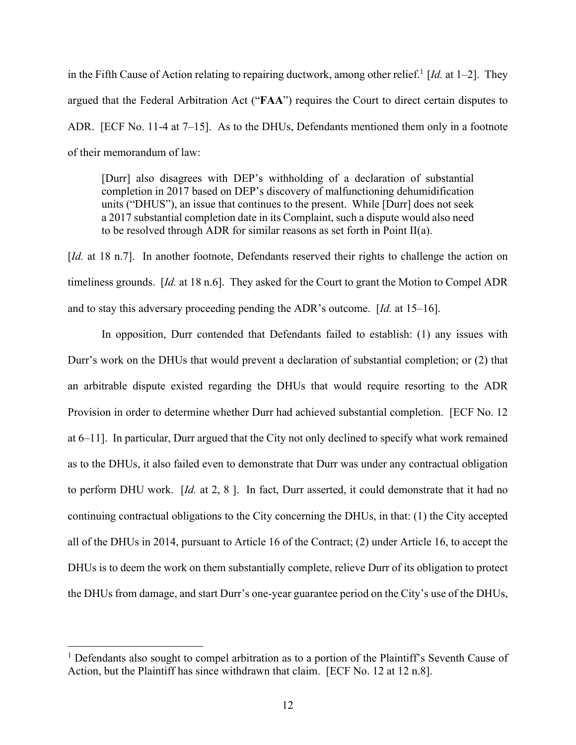in the Fifth Cause of Action relating to repairing ductwork, among other relief.<sup>1</sup> [*Id.* at 1–2]. They argued that the Federal Arbitration Act ("**FAA**") requires the Court to direct certain disputes to ADR. [ECF No. 11-4 at 7–15]. As to the DHUs, Defendants mentioned them only in a footnote of their memorandum of law:

[Durr] also disagrees with DEP's withholding of a declaration of substantial completion in 2017 based on DEP's discovery of malfunctioning dehumidification units ("DHUS"), an issue that continues to the present. While [Durr] does not seek a 2017 substantial completion date in its Complaint, such a dispute would also need to be resolved through ADR for similar reasons as set forth in Point II(a).

[*Id.* at 18 n.7]. In another footnote, Defendants reserved their rights to challenge the action on timeliness grounds. [*Id.* at 18 n.6]. They asked for the Court to grant the Motion to Compel ADR and to stay this adversary proceeding pending the ADR's outcome. [*Id.* at 15–16].

 In opposition, Durr contended that Defendants failed to establish: (1) any issues with Durr's work on the DHUs that would prevent a declaration of substantial completion; or (2) that an arbitrable dispute existed regarding the DHUs that would require resorting to the ADR Provision in order to determine whether Durr had achieved substantial completion. [ECF No. 12 at 6–11]. In particular, Durr argued that the City not only declined to specify what work remained as to the DHUs, it also failed even to demonstrate that Durr was under any contractual obligation to perform DHU work. [*Id.* at 2, 8 ]. In fact, Durr asserted, it could demonstrate that it had no continuing contractual obligations to the City concerning the DHUs, in that: (1) the City accepted all of the DHUs in 2014, pursuant to Article 16 of the Contract; (2) under Article 16, to accept the DHUs is to deem the work on them substantially complete, relieve Durr of its obligation to protect the DHUs from damage, and start Durr's one-year guarantee period on the City's use of the DHUs,

<sup>&</sup>lt;sup>1</sup> Defendants also sought to compel arbitration as to a portion of the Plaintiff's Seventh Cause of Action, but the Plaintiff has since withdrawn that claim. [ECF No. 12 at 12 n.8].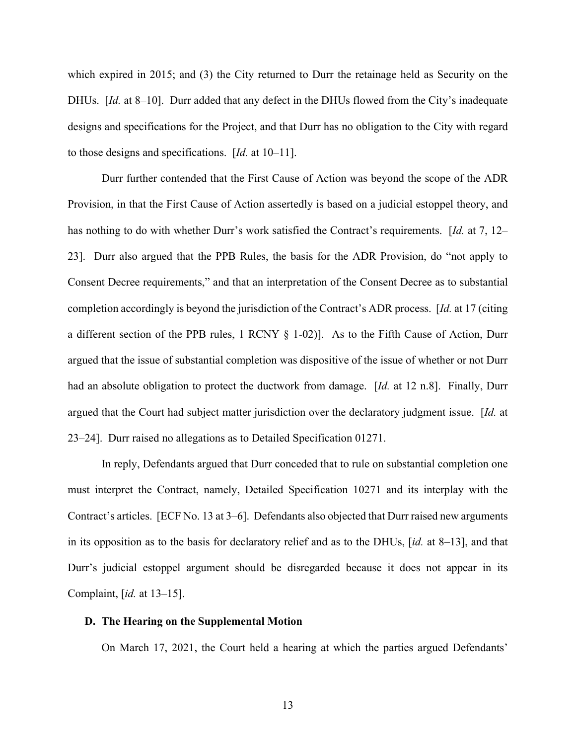which expired in 2015; and (3) the City returned to Durr the retainage held as Security on the DHUs. [*Id.* at 8–10]. Durr added that any defect in the DHUs flowed from the City's inadequate designs and specifications for the Project, and that Durr has no obligation to the City with regard to those designs and specifications. [*Id.* at 10–11].

Durr further contended that the First Cause of Action was beyond the scope of the ADR Provision, in that the First Cause of Action assertedly is based on a judicial estoppel theory, and has nothing to do with whether Durr's work satisfied the Contract's requirements. [*Id.* at 7, 12– 23]. Durr also argued that the PPB Rules, the basis for the ADR Provision, do "not apply to Consent Decree requirements," and that an interpretation of the Consent Decree as to substantial completion accordingly is beyond the jurisdiction of the Contract's ADR process. [*Id.* at 17 (citing a different section of the PPB rules, 1 RCNY § 1-02)]. As to the Fifth Cause of Action, Durr argued that the issue of substantial completion was dispositive of the issue of whether or not Durr had an absolute obligation to protect the ductwork from damage. [*Id.* at 12 n.8]. Finally, Durr argued that the Court had subject matter jurisdiction over the declaratory judgment issue. [*Id.* at 23–24]. Durr raised no allegations as to Detailed Specification 01271.

 In reply, Defendants argued that Durr conceded that to rule on substantial completion one must interpret the Contract, namely, Detailed Specification 10271 and its interplay with the Contract's articles. [ECF No. 13 at 3–6]. Defendants also objected that Durr raised new arguments in its opposition as to the basis for declaratory relief and as to the DHUs, [*id.* at 8–13], and that Durr's judicial estoppel argument should be disregarded because it does not appear in its Complaint, [*id.* at 13–15].

### **D. The Hearing on the Supplemental Motion**

On March 17, 2021, the Court held a hearing at which the parties argued Defendants'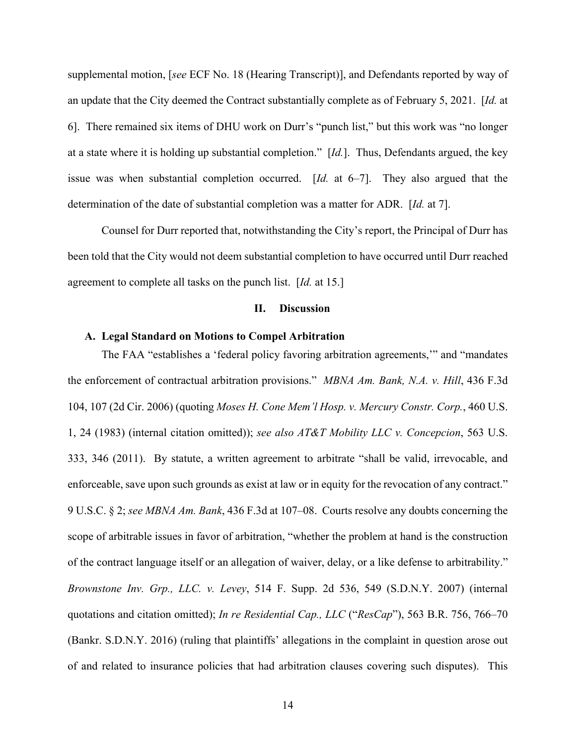supplemental motion, [*see* ECF No. 18 (Hearing Transcript)], and Defendants reported by way of an update that the City deemed the Contract substantially complete as of February 5, 2021. [*Id.* at 6]. There remained six items of DHU work on Durr's "punch list," but this work was "no longer at a state where it is holding up substantial completion." [*Id.*]. Thus, Defendants argued, the key issue was when substantial completion occurred. [*Id.* at 6–7]. They also argued that the determination of the date of substantial completion was a matter for ADR. [*Id.* at 7].

Counsel for Durr reported that, notwithstanding the City's report, the Principal of Durr has been told that the City would not deem substantial completion to have occurred until Durr reached agreement to complete all tasks on the punch list. [*Id.* at 15.]

### **II. Discussion**

## **A. Legal Standard on Motions to Compel Arbitration**

The FAA "establishes a 'federal policy favoring arbitration agreements,'" and "mandates the enforcement of contractual arbitration provisions." *MBNA Am. Bank, N.A. v. Hill*, 436 F.3d 104, 107 (2d Cir. 2006) (quoting *Moses H. Cone Mem'l Hosp. v. Mercury Constr. Corp.*, 460 U.S. 1, 24 (1983) (internal citation omitted)); *see also AT&T Mobility LLC v. Concepcion*, 563 U.S. 333, 346 (2011). By statute, a written agreement to arbitrate "shall be valid, irrevocable, and enforceable, save upon such grounds as exist at law or in equity for the revocation of any contract." 9 U.S.C. § 2; *see MBNA Am. Bank*, 436 F.3d at 107–08. Courts resolve any doubts concerning the scope of arbitrable issues in favor of arbitration, "whether the problem at hand is the construction of the contract language itself or an allegation of waiver, delay, or a like defense to arbitrability." *Brownstone Inv. Grp., LLC. v. Levey*, 514 F. Supp. 2d 536, 549 (S.D.N.Y. 2007) (internal quotations and citation omitted); *In re Residential Cap., LLC* ("*ResCap*"), 563 B.R. 756, 766–70 (Bankr. S.D.N.Y. 2016) (ruling that plaintiffs' allegations in the complaint in question arose out of and related to insurance policies that had arbitration clauses covering such disputes). This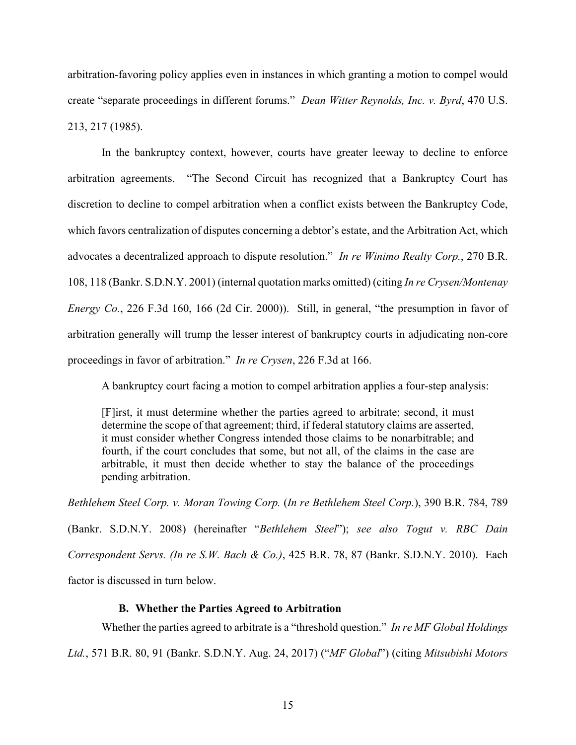arbitration-favoring policy applies even in instances in which granting a motion to compel would create "separate proceedings in different forums." *Dean Witter Reynolds, Inc. v. Byrd*, 470 U.S. 213, 217 (1985).

In the bankruptcy context, however, courts have greater leeway to decline to enforce arbitration agreements. "The Second Circuit has recognized that a Bankruptcy Court has discretion to decline to compel arbitration when a conflict exists between the Bankruptcy Code, which favors centralization of disputes concerning a debtor's estate, and the Arbitration Act, which advocates a decentralized approach to dispute resolution." *In re Winimo Realty Corp.*, 270 B.R. 108, 118 (Bankr. S.D.N.Y. 2001) (internal quotation marks omitted) (citing *In re Crysen/Montenay Energy Co.*, 226 F.3d 160, 166 (2d Cir. 2000)). Still, in general, "the presumption in favor of arbitration generally will trump the lesser interest of bankruptcy courts in adjudicating non-core proceedings in favor of arbitration." *In re Crysen*, 226 F.3d at 166.

A bankruptcy court facing a motion to compel arbitration applies a four-step analysis:

[F]irst, it must determine whether the parties agreed to arbitrate; second, it must determine the scope of that agreement; third, if federal statutory claims are asserted, it must consider whether Congress intended those claims to be nonarbitrable; and fourth, if the court concludes that some, but not all, of the claims in the case are arbitrable, it must then decide whether to stay the balance of the proceedings pending arbitration.

*Bethlehem Steel Corp. v. Moran Towing Corp.* (*In re Bethlehem Steel Corp.*), 390 B.R. 784, 789

(Bankr. S.D.N.Y. 2008) (hereinafter "*Bethlehem Steel*"); *see also Togut v. RBC Dain Correspondent Servs. (In re S.W. Bach & Co.)*, 425 B.R. 78, 87 (Bankr. S.D.N.Y. 2010). Each factor is discussed in turn below.

# **B. Whether the Parties Agreed to Arbitration**

Whether the parties agreed to arbitrate is a "threshold question." *In re MF Global Holdings* 

*Ltd.*, 571 B.R. 80, 91 (Bankr. S.D.N.Y. Aug. 24, 2017) ("*MF Global*") (citing *Mitsubishi Motors*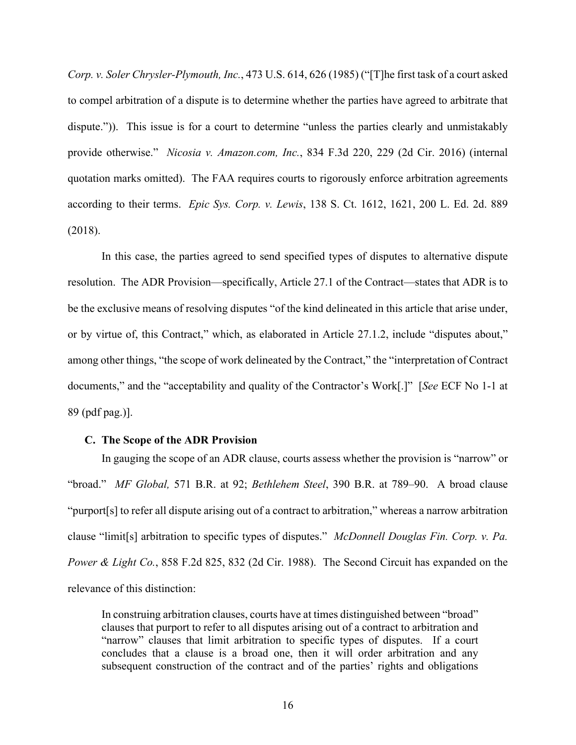*Corp. v. Soler Chrysler-Plymouth, Inc.*, 473 U.S. 614, 626 (1985) ("[T]he first task of a court asked to compel arbitration of a dispute is to determine whether the parties have agreed to arbitrate that dispute.")). This issue is for a court to determine "unless the parties clearly and unmistakably provide otherwise." *Nicosia v. Amazon.com, Inc.*, 834 F.3d 220, 229 (2d Cir. 2016) (internal quotation marks omitted). The FAA requires courts to rigorously enforce arbitration agreements according to their terms. *Epic Sys. Corp. v. Lewis*, 138 S. Ct. 1612, 1621, 200 L. Ed. 2d. 889 (2018).

In this case, the parties agreed to send specified types of disputes to alternative dispute resolution. The ADR Provision—specifically, Article 27.1 of the Contract—states that ADR is to be the exclusive means of resolving disputes "of the kind delineated in this article that arise under, or by virtue of, this Contract," which, as elaborated in Article 27.1.2, include "disputes about," among other things, "the scope of work delineated by the Contract," the "interpretation of Contract documents," and the "acceptability and quality of the Contractor's Work[.]" [*See* ECF No 1-1 at 89 (pdf pag.)].

#### **C. The Scope of the ADR Provision**

In gauging the scope of an ADR clause, courts assess whether the provision is "narrow" or "broad." *MF Global,* 571 B.R. at 92; *Bethlehem Steel*, 390 B.R. at 789–90. A broad clause "purport[s] to refer all dispute arising out of a contract to arbitration," whereas a narrow arbitration clause "limit[s] arbitration to specific types of disputes." *McDonnell Douglas Fin. Corp. v. Pa. Power & Light Co.*, 858 F.2d 825, 832 (2d Cir. 1988). The Second Circuit has expanded on the relevance of this distinction:

In construing arbitration clauses, courts have at times distinguished between "broad" clauses that purport to refer to all disputes arising out of a contract to arbitration and "narrow" clauses that limit arbitration to specific types of disputes. If a court concludes that a clause is a broad one, then it will order arbitration and any subsequent construction of the contract and of the parties' rights and obligations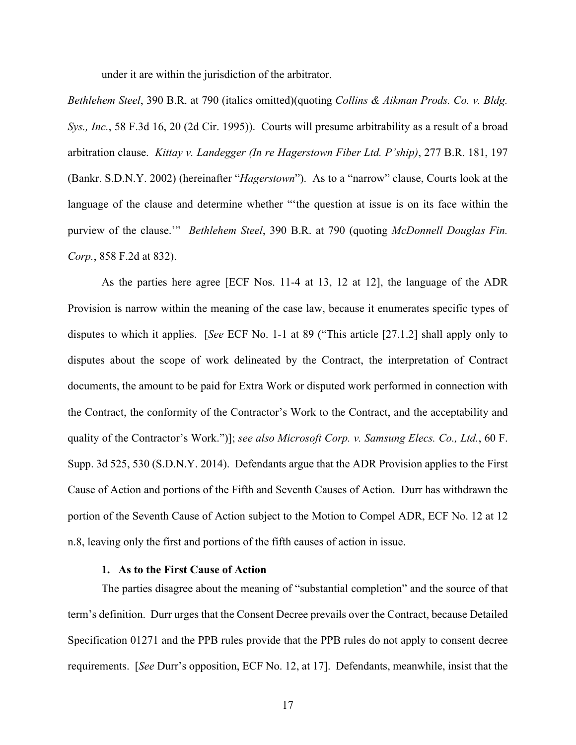under it are within the jurisdiction of the arbitrator.

*Bethlehem Steel*, 390 B.R. at 790 (italics omitted)(quoting *Collins & Aikman Prods. Co. v. Bldg. Sys., Inc.*, 58 F.3d 16, 20 (2d Cir. 1995)). Courts will presume arbitrability as a result of a broad arbitration clause. *Kittay v. Landegger (In re Hagerstown Fiber Ltd. P'ship)*, 277 B.R. 181, 197 (Bankr. S.D.N.Y. 2002) (hereinafter "*Hagerstown*"). As to a "narrow" clause, Courts look at the language of the clause and determine whether "'the question at issue is on its face within the purview of the clause.'" *Bethlehem Steel*, 390 B.R. at 790 (quoting *McDonnell Douglas Fin. Corp.*, 858 F.2d at 832).

 As the parties here agree [ECF Nos. 11-4 at 13, 12 at 12], the language of the ADR Provision is narrow within the meaning of the case law, because it enumerates specific types of disputes to which it applies. [*See* ECF No. 1-1 at 89 ("This article [27.1.2] shall apply only to disputes about the scope of work delineated by the Contract, the interpretation of Contract documents, the amount to be paid for Extra Work or disputed work performed in connection with the Contract, the conformity of the Contractor's Work to the Contract, and the acceptability and quality of the Contractor's Work.")]; *see also Microsoft Corp. v. Samsung Elecs. Co., Ltd.*, 60 F. Supp. 3d 525, 530 (S.D.N.Y. 2014). Defendants argue that the ADR Provision applies to the First Cause of Action and portions of the Fifth and Seventh Causes of Action. Durr has withdrawn the portion of the Seventh Cause of Action subject to the Motion to Compel ADR, ECF No. 12 at 12 n.8, leaving only the first and portions of the fifth causes of action in issue.

### **1. As to the First Cause of Action**

The parties disagree about the meaning of "substantial completion" and the source of that term's definition. Durr urges that the Consent Decree prevails over the Contract, because Detailed Specification 01271 and the PPB rules provide that the PPB rules do not apply to consent decree requirements. [*See* Durr's opposition, ECF No. 12, at 17]. Defendants, meanwhile, insist that the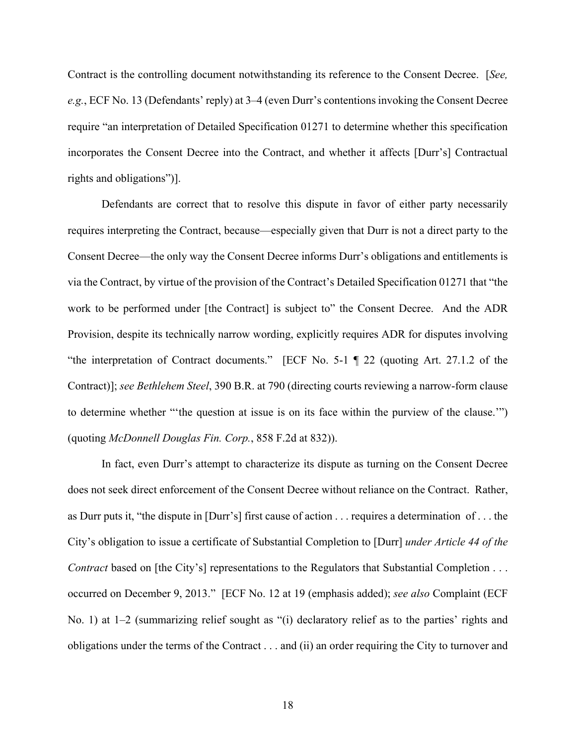Contract is the controlling document notwithstanding its reference to the Consent Decree. [*See, e.g.*, ECF No. 13 (Defendants' reply) at 3–4 (even Durr's contentions invoking the Consent Decree require "an interpretation of Detailed Specification 01271 to determine whether this specification incorporates the Consent Decree into the Contract, and whether it affects [Durr's] Contractual rights and obligations")].

Defendants are correct that to resolve this dispute in favor of either party necessarily requires interpreting the Contract, because—especially given that Durr is not a direct party to the Consent Decree—the only way the Consent Decree informs Durr's obligations and entitlements is via the Contract, by virtue of the provision of the Contract's Detailed Specification 01271 that "the work to be performed under [the Contract] is subject to" the Consent Decree. And the ADR Provision, despite its technically narrow wording, explicitly requires ADR for disputes involving "the interpretation of Contract documents." [ECF No. 5-1 ¶ 22 (quoting Art. 27.1.2 of the Contract)]; *see Bethlehem Steel*, 390 B.R. at 790 (directing courts reviewing a narrow-form clause to determine whether "'the question at issue is on its face within the purview of the clause.'") (quoting *McDonnell Douglas Fin. Corp.*, 858 F.2d at 832)).

In fact, even Durr's attempt to characterize its dispute as turning on the Consent Decree does not seek direct enforcement of the Consent Decree without reliance on the Contract. Rather, as Durr puts it, "the dispute in [Durr's] first cause of action . . . requires a determination of . . . the City's obligation to issue a certificate of Substantial Completion to [Durr] *under Article 44 of the Contract* based on [the City's] representations to the Regulators that Substantial Completion . . . occurred on December 9, 2013." [ECF No. 12 at 19 (emphasis added); *see also* Complaint (ECF No. 1) at 1–2 (summarizing relief sought as "(i) declaratory relief as to the parties' rights and obligations under the terms of the Contract . . . and (ii) an order requiring the City to turnover and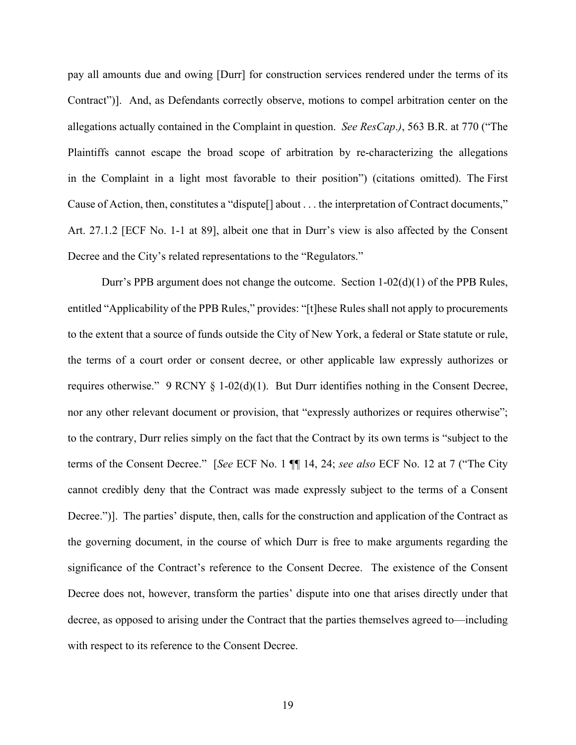pay all amounts due and owing [Durr] for construction services rendered under the terms of its Contract")]. And, as Defendants correctly observe, motions to compel arbitration center on the allegations actually contained in the Complaint in question. *See ResCap*.*)*, 563 B.R. at 770 ("The Plaintiffs cannot escape the broad scope of arbitration by re-characterizing the allegations in the Complaint in a light most favorable to their position") (citations omitted). The First Cause of Action, then, constitutes a "dispute[] about . . . the interpretation of Contract documents," Art. 27.1.2 [ECF No. 1-1 at 89], albeit one that in Durr's view is also affected by the Consent Decree and the City's related representations to the "Regulators."

Durr's PPB argument does not change the outcome. Section 1-02(d)(1) of the PPB Rules, entitled "Applicability of the PPB Rules," provides: "[t]hese Rules shall not apply to procurements to the extent that a source of funds outside the City of New York, a federal or State statute or rule, the terms of a court order or consent decree, or other applicable law expressly authorizes or requires otherwise." 9 RCNY § 1-02(d)(1). But Durr identifies nothing in the Consent Decree, nor any other relevant document or provision, that "expressly authorizes or requires otherwise"; to the contrary, Durr relies simply on the fact that the Contract by its own terms is "subject to the terms of the Consent Decree." [*See* ECF No. 1 ¶¶ 14, 24; *see also* ECF No. 12 at 7 ("The City cannot credibly deny that the Contract was made expressly subject to the terms of a Consent Decree.")]. The parties' dispute, then, calls for the construction and application of the Contract as the governing document, in the course of which Durr is free to make arguments regarding the significance of the Contract's reference to the Consent Decree. The existence of the Consent Decree does not, however, transform the parties' dispute into one that arises directly under that decree, as opposed to arising under the Contract that the parties themselves agreed to—including with respect to its reference to the Consent Decree.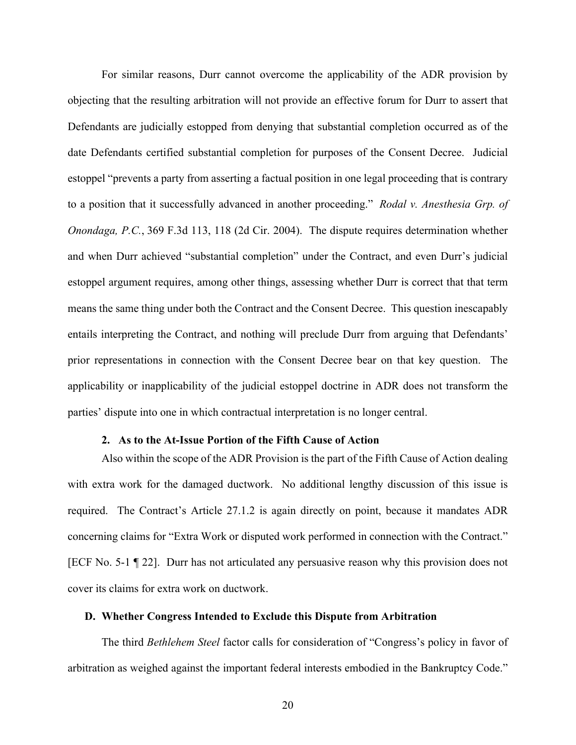For similar reasons, Durr cannot overcome the applicability of the ADR provision by objecting that the resulting arbitration will not provide an effective forum for Durr to assert that Defendants are judicially estopped from denying that substantial completion occurred as of the date Defendants certified substantial completion for purposes of the Consent Decree. Judicial estoppel "prevents a party from asserting a factual position in one legal proceeding that is contrary to a position that it successfully advanced in another proceeding." *Rodal v. Anesthesia Grp. of Onondaga, P.C.*, 369 F.3d 113, 118 (2d Cir. 2004). The dispute requires determination whether and when Durr achieved "substantial completion" under the Contract, and even Durr's judicial estoppel argument requires, among other things, assessing whether Durr is correct that that term means the same thing under both the Contract and the Consent Decree. This question inescapably entails interpreting the Contract, and nothing will preclude Durr from arguing that Defendants' prior representations in connection with the Consent Decree bear on that key question. The applicability or inapplicability of the judicial estoppel doctrine in ADR does not transform the parties' dispute into one in which contractual interpretation is no longer central.

### **2. As to the At-Issue Portion of the Fifth Cause of Action**

Also within the scope of the ADR Provision is the part of the Fifth Cause of Action dealing with extra work for the damaged ductwork. No additional lengthy discussion of this issue is required. The Contract's Article 27.1.2 is again directly on point, because it mandates ADR concerning claims for "Extra Work or disputed work performed in connection with the Contract." [ECF No. 5-1 ¶ 22]. Durr has not articulated any persuasive reason why this provision does not cover its claims for extra work on ductwork.

### **D. Whether Congress Intended to Exclude this Dispute from Arbitration**

The third *Bethlehem Steel* factor calls for consideration of "Congress's policy in favor of arbitration as weighed against the important federal interests embodied in the Bankruptcy Code."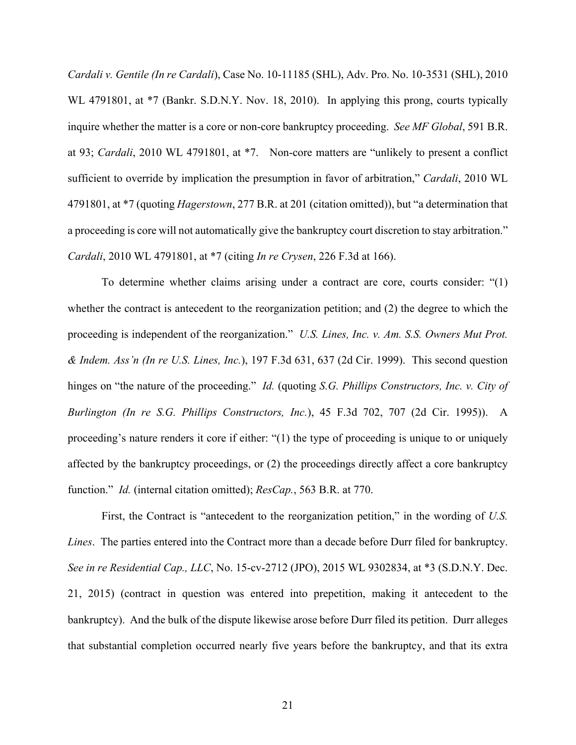*Cardali v. Gentile (In re Cardali*), Case No. 10-11185 (SHL), Adv. Pro. No. 10-3531 (SHL), 2010 WL 4791801, at  $*7$  (Bankr. S.D.N.Y. Nov. 18, 2010). In applying this prong, courts typically inquire whether the matter is a core or non-core bankruptcy proceeding. *See MF Global*, 591 B.R. at 93; *Cardali*, 2010 WL 4791801, at \*7. Non-core matters are "unlikely to present a conflict sufficient to override by implication the presumption in favor of arbitration," *Cardali*, 2010 WL 4791801, at \*7 (quoting *Hagerstown*, 277 B.R. at 201 (citation omitted)), but "a determination that a proceeding is core will not automatically give the bankruptcy court discretion to stay arbitration." *Cardali*, 2010 WL 4791801, at \*7 (citing *In re Crysen*, 226 F.3d at 166).

To determine whether claims arising under a contract are core, courts consider: "(1) whether the contract is antecedent to the reorganization petition; and (2) the degree to which the proceeding is independent of the reorganization." *U.S. Lines, Inc. v. Am. S.S. Owners Mut Prot. & Indem. Ass'n (In re U.S. Lines, Inc.*), 197 F.3d 631, 637 (2d Cir. 1999). This second question hinges on "the nature of the proceeding." *Id.* (quoting *S.G. Phillips Constructors, Inc. v. City of Burlington (In re S.G. Phillips Constructors, Inc.*), 45 F.3d 702, 707 (2d Cir. 1995)). A proceeding's nature renders it core if either: "(1) the type of proceeding is unique to or uniquely affected by the bankruptcy proceedings, or (2) the proceedings directly affect a core bankruptcy function." *Id.* (internal citation omitted); *ResCap.*, 563 B.R. at 770.

First, the Contract is "antecedent to the reorganization petition," in the wording of *U.S. Lines*. The parties entered into the Contract more than a decade before Durr filed for bankruptcy. *See in re Residential Cap., LLC*, No. 15-cv-2712 (JPO), 2015 WL 9302834, at \*3 (S.D.N.Y. Dec. 21, 2015) (contract in question was entered into prepetition, making it antecedent to the bankruptcy). And the bulk of the dispute likewise arose before Durr filed its petition. Durr alleges that substantial completion occurred nearly five years before the bankruptcy, and that its extra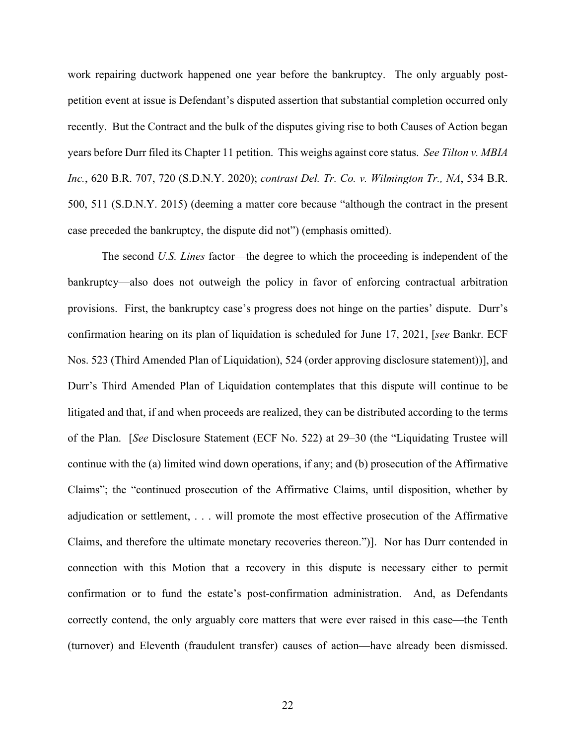work repairing ductwork happened one year before the bankruptcy. The only arguably postpetition event at issue is Defendant's disputed assertion that substantial completion occurred only recently. But the Contract and the bulk of the disputes giving rise to both Causes of Action began years before Durr filed its Chapter 11 petition. This weighs against core status. *See Tilton v. MBIA Inc.*, 620 B.R. 707, 720 (S.D.N.Y. 2020); *contrast Del. Tr. Co. v. Wilmington Tr., NA*, 534 B.R. 500, 511 (S.D.N.Y. 2015) (deeming a matter core because "although the contract in the present case preceded the bankruptcy, the dispute did not") (emphasis omitted).

The second *U.S. Lines* factor—the degree to which the proceeding is independent of the bankruptcy—also does not outweigh the policy in favor of enforcing contractual arbitration provisions. First, the bankruptcy case's progress does not hinge on the parties' dispute. Durr's confirmation hearing on its plan of liquidation is scheduled for June 17, 2021, [*see* Bankr. ECF Nos. 523 (Third Amended Plan of Liquidation), 524 (order approving disclosure statement))], and Durr's Third Amended Plan of Liquidation contemplates that this dispute will continue to be litigated and that, if and when proceeds are realized, they can be distributed according to the terms of the Plan. [*See* Disclosure Statement (ECF No. 522) at 29–30 (the "Liquidating Trustee will continue with the (a) limited wind down operations, if any; and (b) prosecution of the Affirmative Claims"; the "continued prosecution of the Affirmative Claims, until disposition, whether by adjudication or settlement, . . . will promote the most effective prosecution of the Affirmative Claims, and therefore the ultimate monetary recoveries thereon.")]. Nor has Durr contended in connection with this Motion that a recovery in this dispute is necessary either to permit confirmation or to fund the estate's post-confirmation administration. And, as Defendants correctly contend, the only arguably core matters that were ever raised in this case—the Tenth (turnover) and Eleventh (fraudulent transfer) causes of action—have already been dismissed.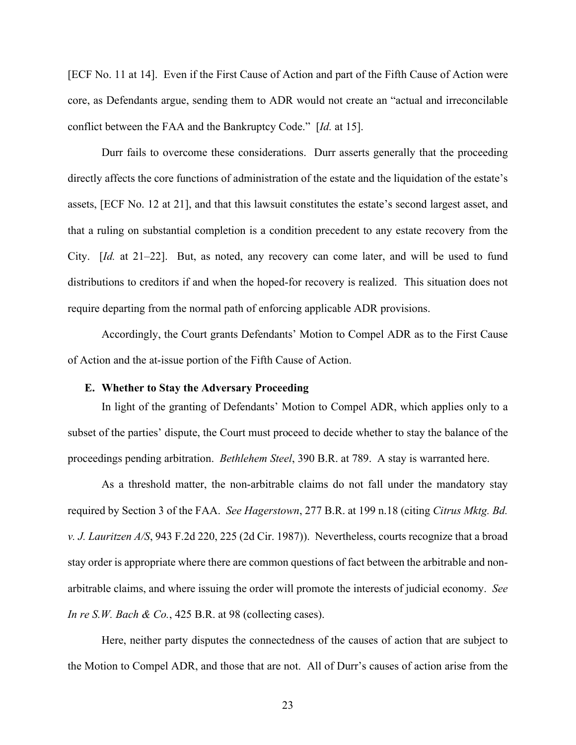[ECF No. 11 at 14]. Even if the First Cause of Action and part of the Fifth Cause of Action were core, as Defendants argue, sending them to ADR would not create an "actual and irreconcilable conflict between the FAA and the Bankruptcy Code." [*Id.* at 15].

Durr fails to overcome these considerations. Durr asserts generally that the proceeding directly affects the core functions of administration of the estate and the liquidation of the estate's assets, [ECF No. 12 at 21], and that this lawsuit constitutes the estate's second largest asset, and that a ruling on substantial completion is a condition precedent to any estate recovery from the City. [*Id.* at 21–22]. But, as noted, any recovery can come later, and will be used to fund distributions to creditors if and when the hoped-for recovery is realized. This situation does not require departing from the normal path of enforcing applicable ADR provisions.

Accordingly, the Court grants Defendants' Motion to Compel ADR as to the First Cause of Action and the at-issue portion of the Fifth Cause of Action.

### **E. Whether to Stay the Adversary Proceeding**

In light of the granting of Defendants' Motion to Compel ADR, which applies only to a subset of the parties' dispute, the Court must proceed to decide whether to stay the balance of the proceedings pending arbitration. *Bethlehem Steel*, 390 B.R. at 789. A stay is warranted here.

As a threshold matter, the non-arbitrable claims do not fall under the mandatory stay required by Section 3 of the FAA. *See Hagerstown*, 277 B.R. at 199 n.18 (citing *Citrus Mktg. Bd. v. J. Lauritzen A/S*, 943 F.2d 220, 225 (2d Cir. 1987)). Nevertheless, courts recognize that a broad stay order is appropriate where there are common questions of fact between the arbitrable and nonarbitrable claims, and where issuing the order will promote the interests of judicial economy. *See In re S.W. Bach & Co.*, 425 B.R. at 98 (collecting cases).

Here, neither party disputes the connectedness of the causes of action that are subject to the Motion to Compel ADR, and those that are not. All of Durr's causes of action arise from the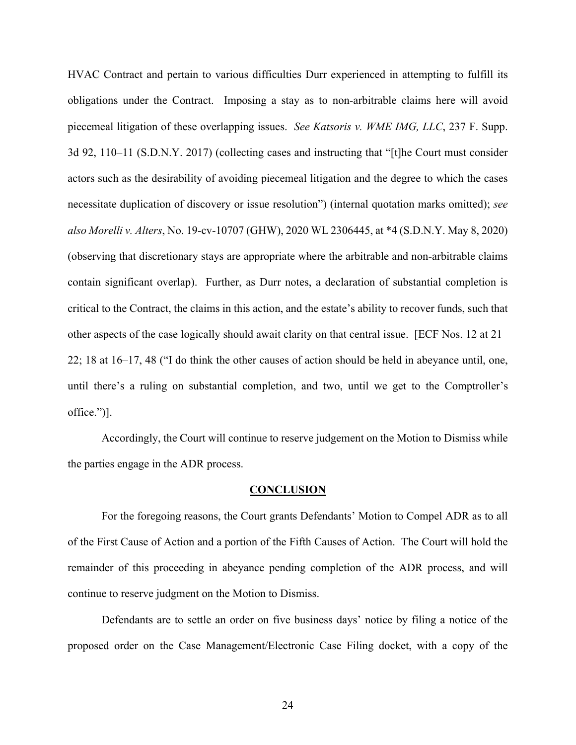HVAC Contract and pertain to various difficulties Durr experienced in attempting to fulfill its obligations under the Contract. Imposing a stay as to non-arbitrable claims here will avoid piecemeal litigation of these overlapping issues. *See Katsoris v. WME IMG, LLC*, 237 F. Supp. 3d 92, 110–11 (S.D.N.Y. 2017) (collecting cases and instructing that "[t]he Court must consider actors such as the desirability of avoiding piecemeal litigation and the degree to which the cases necessitate duplication of discovery or issue resolution") (internal quotation marks omitted); *see also Morelli v. Alters*, No. 19-cv-10707 (GHW), 2020 WL 2306445, at \*4 (S.D.N.Y. May 8, 2020) (observing that discretionary stays are appropriate where the arbitrable and non-arbitrable claims contain significant overlap). Further, as Durr notes, a declaration of substantial completion is critical to the Contract, the claims in this action, and the estate's ability to recover funds, such that other aspects of the case logically should await clarity on that central issue. [ECF Nos. 12 at 21– 22; 18 at 16–17, 48 ("I do think the other causes of action should be held in abeyance until, one, until there's a ruling on substantial completion, and two, until we get to the Comptroller's office.")].

Accordingly, the Court will continue to reserve judgement on the Motion to Dismiss while the parties engage in the ADR process.

#### **CONCLUSION**

 For the foregoing reasons, the Court grants Defendants' Motion to Compel ADR as to all of the First Cause of Action and a portion of the Fifth Causes of Action. The Court will hold the remainder of this proceeding in abeyance pending completion of the ADR process, and will continue to reserve judgment on the Motion to Dismiss.

Defendants are to settle an order on five business days' notice by filing a notice of the proposed order on the Case Management/Electronic Case Filing docket, with a copy of the